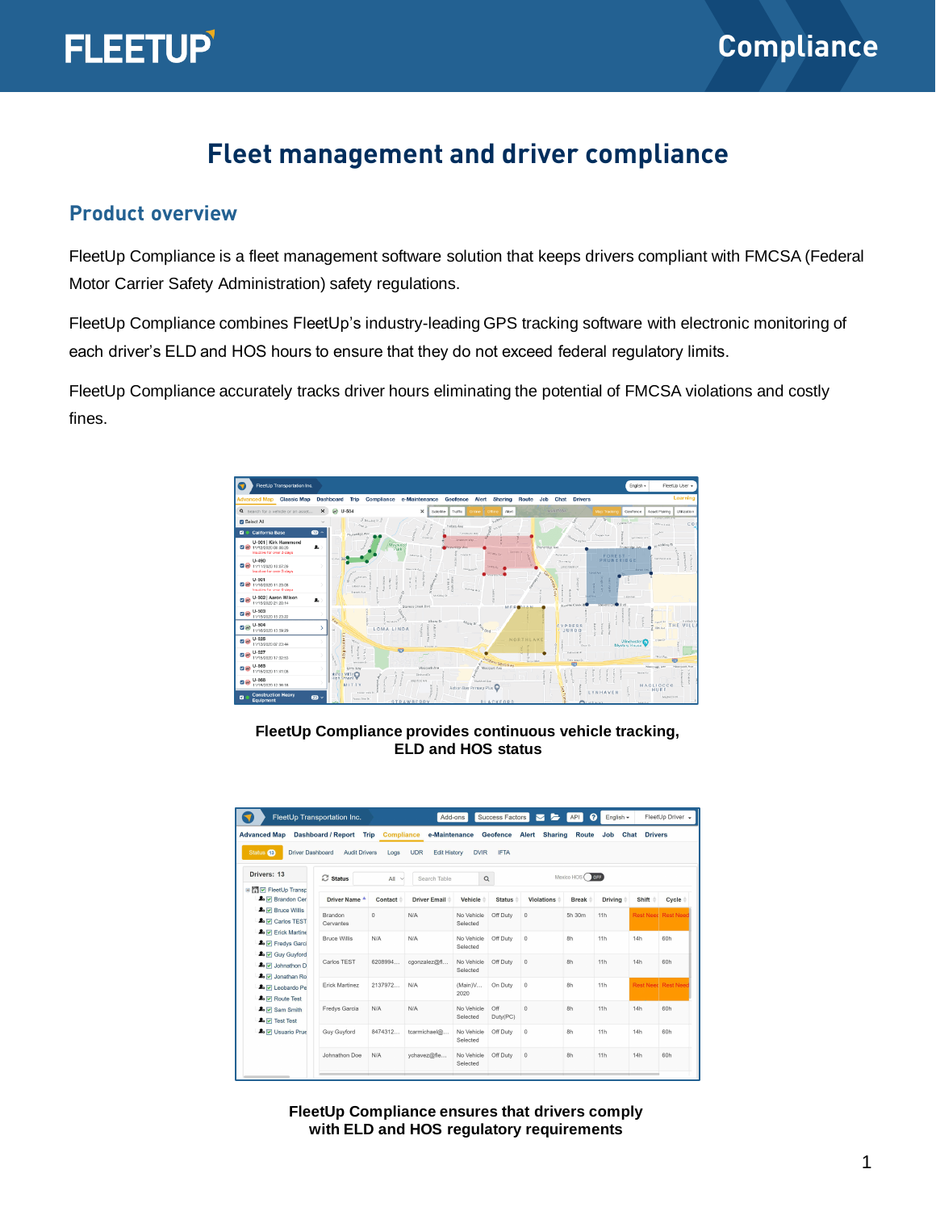

## **Fleet management and driver compliance**

#### **Product overview**

FleetUp Compliance is a fleet management software solution that keeps drivers compliant with FMCSA (Federal Motor Carrier Safety Administration) safety regulations.

FleetUp Compliance combines FleetUp's industry-leading GPS tracking software with electronic monitoring of each driver's ELD and HOS hours to ensure that they do not exceed federal regulatory limits.

FleetUp Compliance accurately tracks driver hours eliminating the potential of FMCSA violations and costly fines.



#### **FleetUp Compliance provides continuous vehicle tracking, ELD and HOS status**

| FleetUp Transportation Inc.                                                                                  |                           |                           |                                   | ุ ค<br>FleetUp Driver -<br>Add-ons<br>Success Factors<br>$\triangleright$<br>English -<br><b>API</b> |                 |                         |              |                |                           |       |
|--------------------------------------------------------------------------------------------------------------|---------------------------|---------------------------|-----------------------------------|------------------------------------------------------------------------------------------------------|-----------------|-------------------------|--------------|----------------|---------------------------|-------|
| <b>Advanced Map</b>                                                                                          | <b>Dashboard / Report</b> | Trip<br><b>Compliance</b> | e-Maintenance                     |                                                                                                      | Geofence        | <b>Sharing</b><br>Alert | <b>Route</b> | Job            | <b>Drivers</b><br>Chat    |       |
| Status <sub>6</sub><br>Driver Dashboard                                                                      | <b>Audit Drivers</b>      | Logs                      | <b>Edit History</b><br><b>UDR</b> | <b>DVIR</b>                                                                                          | <b>IFTA</b>     |                         |              |                |                           |       |
| Drivers: 13                                                                                                  | <b>C</b> Status           | All<br>$\checkmark$       | Search Table                      | Q                                                                                                    |                 |                         | Mexico HOS   | OFF            |                           |       |
| <b>BIG D</b> FleetUp Transp<br><b>2.</b> $\boxed{\mathbf{v}}$ Brandon Cer                                    | Driver Name               | Contact                   | <b>Driver Email</b>               | Vehicle                                                                                              | <b>Status</b>   | Violations              | <b>Break</b> | <b>Driving</b> | Shift                     | Cycle |
| <b>2.</b> $\sqrt{ }$ Bruce Willis<br><b>2.</b> V Carlos TEST                                                 | Brandon<br>Cervantes      | $\Omega$                  | N/A                               | No Vehicle<br>Selected                                                                               | Off Duty        | $\theta$                | 5h 30m       | 11h            | <b>Rest Need Rest Nee</b> |       |
| <b>2.</b> $\overline{v}$ Erick Martine<br><b>A</b> <sub>o</sub> $\sqrt{}$ Fredys Garci                       | <b>Bruce Willis</b>       | N/A                       | N/A                               | No Vehicle<br>Selected                                                                               | Off Duty        | 0                       | 8h           | 11h            | 14h                       | 60h   |
| <b>2.</b> V Guy Guyford<br><b>2.</b> √ Johnathon D<br><b>2.</b> V Jonathan Ro                                | Carlos TEST               | 6208994                   | cgonzalez@fi                      | No Vehicle<br>Selected                                                                               | Off Duty        | 0                       | 8h           | 11h            | 14h                       | 60h   |
| <b>2.</b> V Leobardo Pe<br><b>2.</b> 7 Route Test                                                            | <b>Erick Martinez</b>     | 2137972                   | N/A                               | (Main)V<br>2020                                                                                      | On Duty         | $\Omega$                | 8h           | 11h            | <b>Rest Need Rest Nee</b> |       |
| <b>A</b> <sub>o</sub> $\overline{\mathbf{v}}$ Sam Smith<br><b>A</b> <sub>o</sub> $\overline{\vee}$ Test Test | Fredys Garcia             | N/A                       | N/A                               | No Vehicle<br>Selected                                                                               | Off<br>Duty(PC) | $\Omega$                | 8h           | 11h            | 14h                       | 60h   |
| <b>2.</b> V Usuario Prue                                                                                     | Guy Guyford               | 8474312                   | tcarmichael@                      | No Vehicle<br>Selected                                                                               | Off Duty        | $\mathbf{0}$            | 8h           | 11h            | 14h                       | 60h   |
|                                                                                                              | Johnathon Doe             | N/A                       | ychavez@fle                       | No Vehicle<br>Selected                                                                               | Off Duty        | 0                       | 8h           | 11h            | 14h                       | 60h   |

**FleetUp Compliance ensures that drivers comply with ELD and HOS regulatory requirements**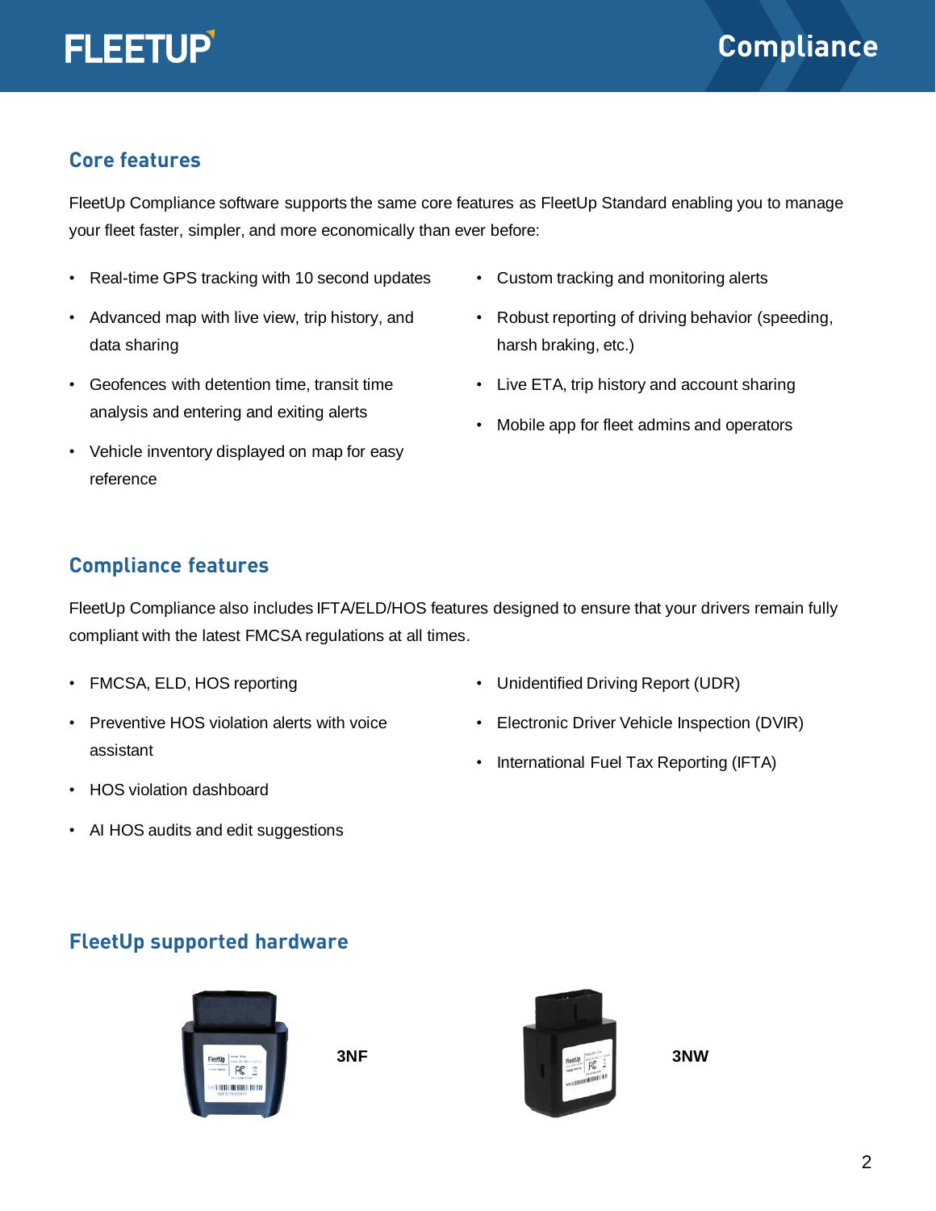#### **Core features**

FleetUp Compliance software supports the same core features as FleetUp Standard enabling you to manage your fleet faster, simpler, and more economically than ever before:

- Real-time GPS tracking with 10 second updates
- Advanced map with live view, trip history, and data sharing
- Geofences with detention time, transit time analysis and entering and exiting alerts
- Vehicle inventory displayed on map for easy reference
- Custom tracking and monitoring alerts
- Robust reporting of driving behavior (speeding, harsh braking, etc.)
- Live ETA, trip history and account sharing
- Mobile app for fleet admins and operators

#### **Compliance features**

FleetUp Compliance also includes IFTA/ELD/HOS features designed to ensure that your drivers remain fully compliant with the latest FMCSA regulations at all times.

- FMCSA, ELD, HOS reporting
- Preventive HOS violation alerts with voice assistant
- Unidentified Driving Report (UDR)
- Electronic Driver Vehicle Inspection (DVIR)
- International Fuel Tax Reporting (IFTA)

- HOS violation dashboard
- AI HOS audits and edit suggestions

#### **FleetUp supported hardware**